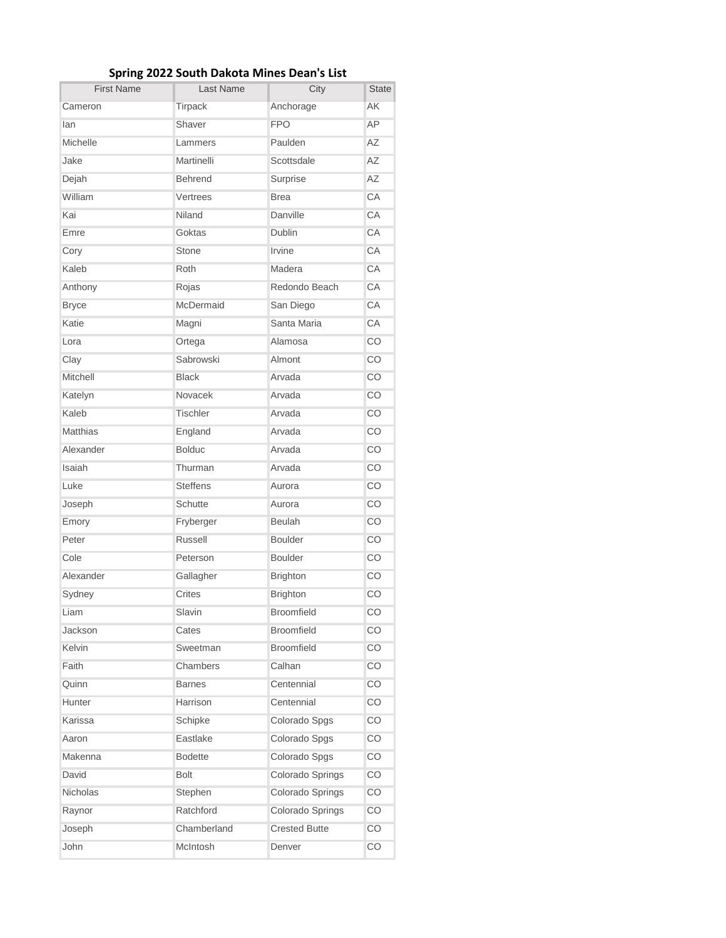| <b>First Name</b> | <b>Last Name</b> | City                 | <b>State</b> |
|-------------------|------------------|----------------------|--------------|
| Cameron           | Tirpack          | Anchorage            | AK           |
| lan               | Shaver           | <b>FPO</b>           | AP           |
| Michelle          | Lammers          | Paulden              | <b>AZ</b>    |
| Jake              | Martinelli       | Scottsdale           | AΖ           |
| Dejah             | <b>Behrend</b>   | Surprise             | <b>AZ</b>    |
| William           | Vertrees         | <b>Brea</b>          | CA           |
| Kai               | Niland           | Danville             | CA           |
| Emre              | Goktas           | Dublin               | CA           |
| Cory              | Stone            | Irvine               | CA           |
| Kaleb             | Roth             | Madera               | CA           |
| Anthony           | Rojas            | Redondo Beach        | CA           |
| <b>Bryce</b>      | McDermaid        | San Diego            | CA           |
| Katie             | Magni            | Santa Maria          | CA           |
| Lora              | Ortega           | Alamosa              | CO           |
| Clay              | Sabrowski        | Almont               | CO           |
| Mitchell          | <b>Black</b>     | Arvada               | CO           |
| Katelyn           | Novacek          | Arvada               | CO           |
| Kaleb             | <b>Tischler</b>  | Arvada               | CO           |
| <b>Matthias</b>   | England          | Arvada               | CO           |
| Alexander         | <b>Bolduc</b>    | Arvada               | CO           |
| Isaiah            | Thurman          | Arvada               | CO           |
| Luke              | <b>Steffens</b>  | Aurora               | CO           |
| Joseph            | Schutte          | Aurora               | CO           |
| Emory             | Fryberger        | <b>Beulah</b>        | CO           |
| Peter             | Russell          | <b>Boulder</b>       | CO           |
| Cole              | Peterson         | <b>Boulder</b>       | CO           |
| Alexander         | Gallagher        | <b>Brighton</b>      | CO           |
| Sydney            | Crites           | <b>Brighton</b>      | CO           |
| Liam              | Slavin           | Broomfield           | CO           |
| Jackson           | Cates            | <b>Broomfield</b>    | CO           |
| <b>Kelvin</b>     | Sweetman         | <b>Broomfield</b>    | CO           |
| Faith             | Chambers         | Calhan               | CO           |
| Quinn             | <b>Barnes</b>    | Centennial           | CO           |
| Hunter            | Harrison         | Centennial           | CO           |
| Karissa           | Schipke          | Colorado Spgs        | CO           |
| Aaron             | Eastlake         | Colorado Spgs        | CO           |
| Makenna           | <b>Bodette</b>   | Colorado Spgs        | CO           |
| David             | <b>Bolt</b>      | Colorado Springs     | CO           |
| Nicholas          | Stephen          | Colorado Springs     | CO           |
| Raynor            | Ratchford        | Colorado Springs     | CO           |
| Joseph            | Chamberland      | <b>Crested Butte</b> | CO           |
| John              | McIntosh         | Denver               | CO           |

## **Spring 2022 South Dakota Mines Dean's List**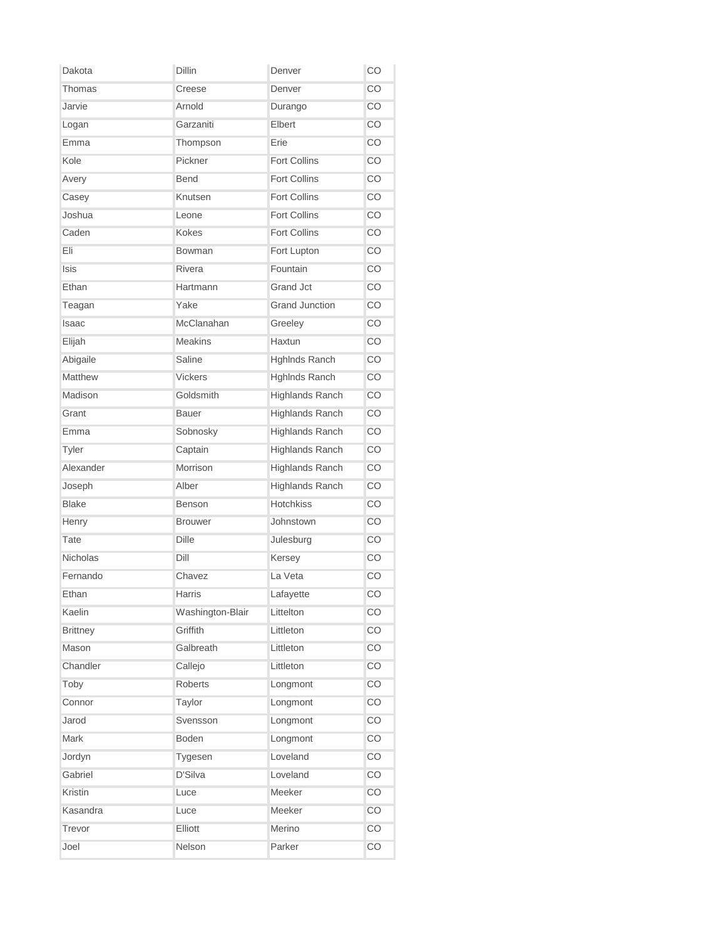| Dakota          | <b>Dillin</b>    | Denver                 | CO  |
|-----------------|------------------|------------------------|-----|
| Thomas          | Creese           | Denver                 | CO  |
| Jarvie          | Arnold           | Durango                | CO  |
| Logan           | Garzaniti        | Elbert                 | CO  |
| Emma            | Thompson         | Erie                   | CO  |
| Kole            | Pickner          | <b>Fort Collins</b>    | CO  |
| Avery           | <b>Bend</b>      | <b>Fort Collins</b>    | CO  |
| Casey           | Knutsen          | <b>Fort Collins</b>    | CO  |
| Joshua          | Leone            | <b>Fort Collins</b>    | CO. |
| Caden           | <b>Kokes</b>     | <b>Fort Collins</b>    | CO  |
| Eli             | Bowman           | Fort Lupton            | CO  |
| <b>Isis</b>     | Rivera           | Fountain               | CO  |
| Ethan           | Hartmann         | Grand Jct              | CO  |
| Teagan          | Yake             | <b>Grand Junction</b>  | CO  |
| Isaac           | McClanahan       | Greeley                | CO  |
| Elijah          | <b>Meakins</b>   | Haxtun                 | CO. |
| Abigaile        | Saline           | HghInds Ranch          | CO  |
| Matthew         | <b>Vickers</b>   | HghInds Ranch          | CO  |
| Madison         | Goldsmith        | <b>Highlands Ranch</b> | CO  |
| Grant           | Bauer            | <b>Highlands Ranch</b> | CO  |
| Emma            | Sobnosky         | <b>Highlands Ranch</b> | CO  |
| Tyler           | Captain          | <b>Highlands Ranch</b> | CO. |
| Alexander       | Morrison         | <b>Highlands Ranch</b> | CO  |
| Joseph          | Alber            | <b>Highlands Ranch</b> | CO  |
| <b>Blake</b>    | <b>Benson</b>    | <b>Hotchkiss</b>       | CO  |
| Henry           | <b>Brouwer</b>   | Johnstown              | CO  |
| Tate            | <b>Dille</b>     | Julesburg              | CO  |
| <b>Nicholas</b> | Dill             | Kersey                 | CO  |
| Fernando        | Chavez           | La Veta                | CO  |
| Ethan           | Harris           | Lafayette              | CO  |
| Kaelin          | Washington-Blair | Littelton              | CO  |
| <b>Brittney</b> | Griffith         | Littleton              | CO  |
| Mason           | Galbreath        | Littleton              | CO  |
| Chandler        | Callejo          | Littleton              | CO  |
| Toby            | Roberts          | Longmont               | CO  |
| Connor          | Taylor           | Longmont               | CO  |
| Jarod           | Svensson         | Longmont               | CO  |
| Mark            | Boden            | Longmont               | CO  |
| Jordyn          | Tygesen          | Loveland               | CO  |
| Gabriel         | D'Silva          | Loveland               | CO  |
| Kristin         | Luce             | Meeker                 | CO  |
| Kasandra        | Luce             | Meeker                 | CO  |
| Trevor          | Elliott          | Merino                 | CO  |
| Joel            | Nelson           | Parker                 | CO  |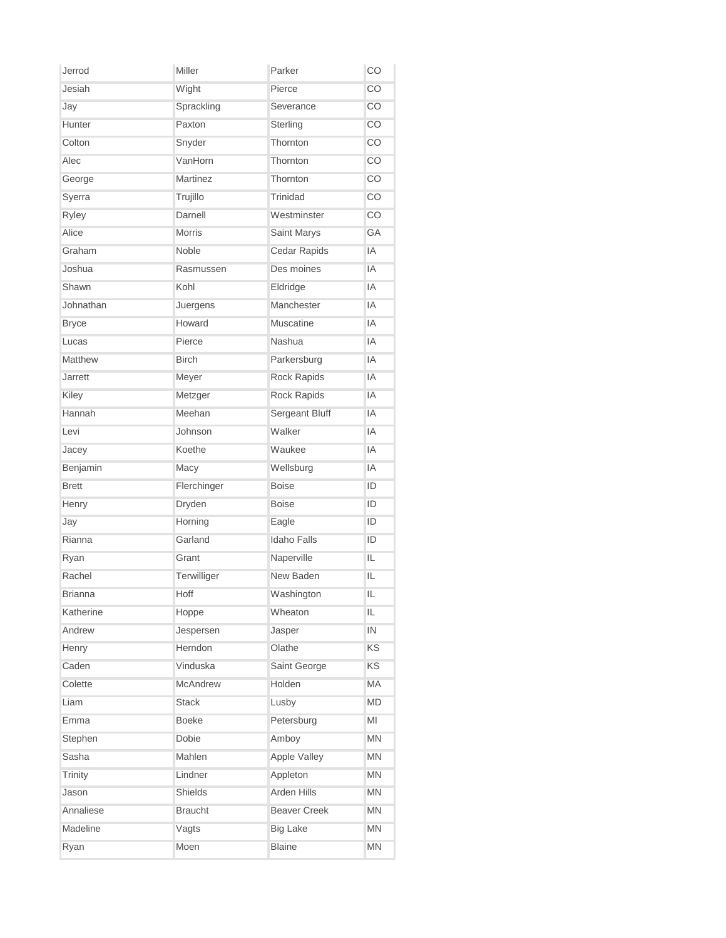| Jerrod         | Miller          | Parker              | CO        |
|----------------|-----------------|---------------------|-----------|
| Jesiah         | Wight           | Pierce              | CO        |
| Jay            | Sprackling      | Severance           | CO        |
| Hunter         | Paxton          | Sterling            | CO        |
| Colton         | Snyder          | Thornton            | CO        |
| Alec           | VanHorn         | Thornton            | CO        |
| George         | <b>Martinez</b> | Thornton            | CO        |
| Syerra         | Trujillo        | Trinidad            | CO        |
| Ryley          | Darnell         | Westminster         | CO.       |
| Alice          | <b>Morris</b>   | Saint Marys         | <b>GA</b> |
| Graham         | Noble           | Cedar Rapids        | IA        |
| Joshua         | Rasmussen       | Des moines          | IA        |
| Shawn          | Kohl            | Eldridge            | IA        |
| Johnathan      | Juergens        | Manchester          | IA        |
| <b>Bryce</b>   | Howard          | <b>Muscatine</b>    | IA        |
| Lucas          | Pierce          | Nashua              | IA        |
| Matthew        | <b>Birch</b>    | Parkersburg         | IA        |
| <b>Jarrett</b> | Meyer           | Rock Rapids         | IA        |
| Kiley          | Metzger         | Rock Rapids         | IA        |
| Hannah         | Meehan          | Sergeant Bluff      | IA        |
| Levi           | Johnson         | Walker              | IA        |
| Jacey          | Koethe          | Waukee              | IA        |
| Benjamin       | Macy            | Wellsburg           | IA        |
| <b>Brett</b>   | Flerchinger     | <b>Boise</b>        | ID        |
| Henry          | Dryden          | <b>Boise</b>        | ID        |
| Jay            | Horning         | Eagle               | ID        |
| Rianna         | Garland         | <b>Idaho Falls</b>  | ID        |
| Ryan           | Grant           | Naperville          | IL.       |
| Rachel         | Terwilliger     | New Baden           | IL        |
| <b>Brianna</b> | Hoff            | Washington          | IL        |
| Katherine      | Hoppe           | Wheaton             | IL        |
| Andrew         | Jespersen       | Jasper              | IN        |
| Henry          | Herndon         | Olathe              | KS        |
| Caden          | Vinduska        | Saint George        | KS        |
| Colette        | <b>McAndrew</b> | Holden              | MA        |
| Liam           | <b>Stack</b>    | Lusby               | <b>MD</b> |
| Emma           | <b>Boeke</b>    | Petersburg          | MI        |
| Stephen        | Dobie           | Amboy               | MN        |
| Sasha          | Mahlen          | Apple Valley        | MN        |
| Trinity        | Lindner         | Appleton            | <b>MN</b> |
| Jason          | Shields         | Arden Hills         | MN        |
| Annaliese      | <b>Braucht</b>  | <b>Beaver Creek</b> | MN        |
| Madeline       | Vagts           | <b>Big Lake</b>     | MN        |
| Ryan           | Moen            | <b>Blaine</b>       | MN        |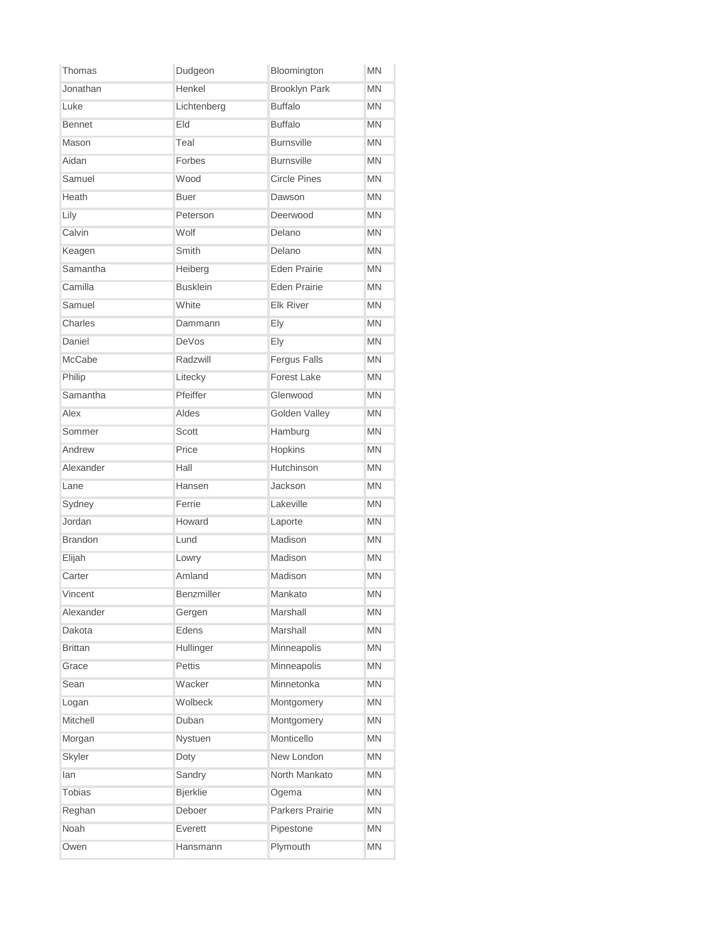| Thomas         | Dudgeon         | Bloomington          | <b>MN</b> |
|----------------|-----------------|----------------------|-----------|
| Jonathan       | Henkel          | <b>Brooklyn Park</b> | <b>MN</b> |
| Luke           | Lichtenberg     | <b>Buffalo</b>       | <b>MN</b> |
| <b>Bennet</b>  | Eld             | <b>Buffalo</b>       | <b>MN</b> |
| Mason          | Teal            | <b>Burnsville</b>    | <b>MN</b> |
| Aidan          | Forbes          | <b>Burnsville</b>    | <b>MN</b> |
| Samuel         | Wood            | <b>Circle Pines</b>  | <b>MN</b> |
| Heath          | <b>Buer</b>     | Dawson               | <b>MN</b> |
| Lily           | Peterson        | Deerwood             | <b>MN</b> |
| Calvin         | Wolf            | Delano               | <b>MN</b> |
| Keagen         | Smith           | Delano               | <b>MN</b> |
| Samantha       | Heiberg         | <b>Eden Prairie</b>  | MN        |
| Camilla        | <b>Busklein</b> | <b>Eden Prairie</b>  | <b>MN</b> |
| Samuel         | White           | <b>Elk River</b>     | <b>MN</b> |
| Charles        | Dammann         | Ely                  | <b>MN</b> |
| Daniel         | DeVos           | Ely                  | <b>MN</b> |
| McCabe         | Radzwill        | <b>Fergus Falls</b>  | <b>MN</b> |
| Philip         | Litecky         | <b>Forest Lake</b>   | <b>MN</b> |
| Samantha       | Pfeiffer        | Glenwood             | <b>MN</b> |
| Alex           | Aldes           | Golden Valley        | <b>MN</b> |
| Sommer         | Scott           | Hamburg              | <b>MN</b> |
| Andrew         | Price           | Hopkins              | <b>MN</b> |
| Alexander      | Hall            | Hutchinson           | <b>MN</b> |
| Lane           | Hansen          | Jackson              | <b>MN</b> |
| Sydney         | Ferrie          | Lakeville            | <b>MN</b> |
| Jordan         | Howard          | Laporte              | <b>MN</b> |
| <b>Brandon</b> | Lund            | Madison              | <b>MN</b> |
| Elijah         | Lowry           | <b>Madison</b>       | ΜN        |
| Carter         | Amland          | Madison              | <b>MN</b> |
| Vincent        | Benzmiller      | Mankato              | MN        |
| Alexander      | Gergen          | Marshall             | MN        |
| Dakota         | Edens           | Marshall             | MN        |
| <b>Brittan</b> | Hullinger       | Minneapolis          | <b>MN</b> |
| Grace          | Pettis          | Minneapolis          | <b>MN</b> |
| Sean           | Wacker          | Minnetonka           | <b>MN</b> |
| Logan          | Wolbeck         | Montgomery           | <b>MN</b> |
| Mitchell       | Duban           | Montgomery           | MN        |
| Morgan         | Nystuen         | Monticello           | MN        |
| Skyler         | Doty            | New London           | MN        |
| lan            | Sandry          | North Mankato        | <b>MN</b> |
| <b>Tobias</b>  | <b>Bjerklie</b> | Ogema                | MN        |
| Reghan         | Deboer          | Parkers Prairie      | MN        |
| Noah           | Everett         | Pipestone            | MN        |
| Owen           | Hansmann        | Plymouth             | MN        |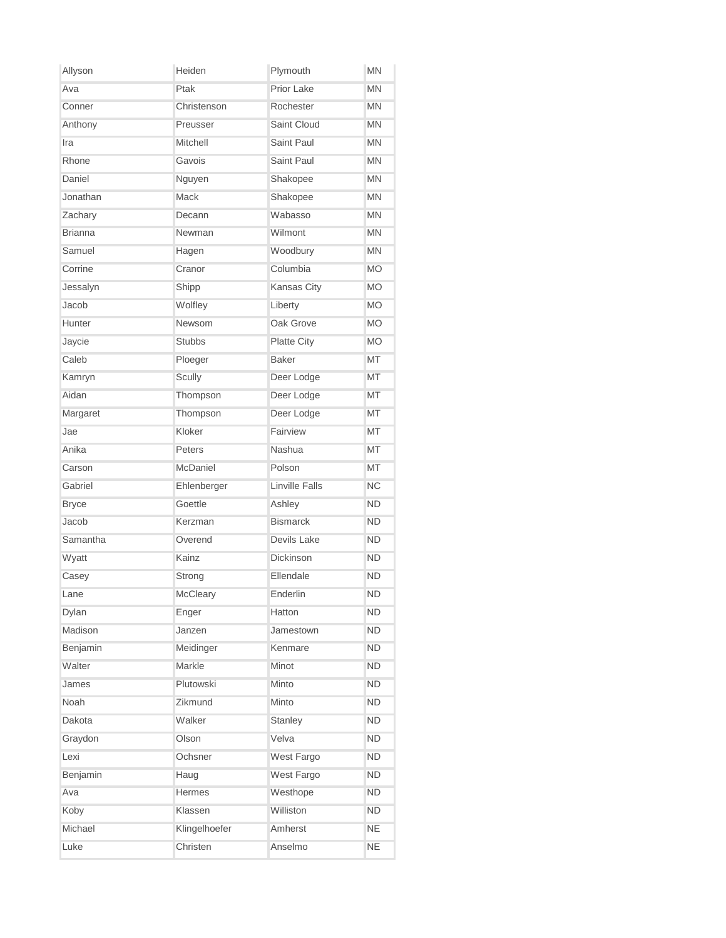| Allyson        | Heiden        | Plymouth              | <b>MN</b> |
|----------------|---------------|-----------------------|-----------|
| Ava            | Ptak          | Prior Lake            | <b>MN</b> |
| Conner         | Christenson   | Rochester             | <b>MN</b> |
| Anthony        | Preusser      | Saint Cloud           | <b>MN</b> |
| Ira            | Mitchell      | Saint Paul            | <b>MN</b> |
| Rhone          | Gavois        | Saint Paul            | <b>MN</b> |
| Daniel         | Nguyen        | Shakopee              | <b>MN</b> |
| Jonathan       | Mack          | Shakopee              | <b>MN</b> |
| Zachary        | Decann        | Wabasso               | <b>MN</b> |
| <b>Brianna</b> | Newman        | Wilmont               | <b>MN</b> |
| Samuel         | Hagen         | Woodbury              | <b>MN</b> |
| Corrine        | Cranor        | Columbia              | <b>MO</b> |
| Jessalyn       | Shipp         | <b>Kansas City</b>    | <b>MO</b> |
| Jacob          | Wolfley       | Liberty               | <b>MO</b> |
| Hunter         | <b>Newsom</b> | Oak Grove             | <b>MO</b> |
| Jaycie         | <b>Stubbs</b> | <b>Platte City</b>    | <b>MO</b> |
| Caleb          | Ploeger       | <b>Baker</b>          | <b>MT</b> |
| Kamryn         | Scully        | Deer Lodge            | МT        |
| Aidan          | Thompson      | Deer Lodge            | <b>MT</b> |
| Margaret       | Thompson      | Deer Lodge            | MT        |
| Jae            | Kloker        | Fairview              | МT        |
| Anika          | Peters        | <b>Nashua</b>         | <b>MT</b> |
| Carson         | McDaniel      | Polson                | <b>MT</b> |
| Gabriel        | Ehlenberger   | <b>Linville Falls</b> | <b>NC</b> |
| <b>Bryce</b>   | Goettle       | Ashley                | <b>ND</b> |
| Jacob          | Kerzman       | <b>Bismarck</b>       | <b>ND</b> |
| Samantha       | Overend       | Devils Lake           | <b>ND</b> |
| Wyatt          | Kainz         | Dickinson             | <b>ND</b> |
| Casey          | Strong        | Ellendale             | <b>ND</b> |
| Lane           | McCleary      | Enderlin              | ND        |
| Dylan          | Enger         | Hatton                | <b>ND</b> |
| Madison        | Janzen        | Jamestown             | <b>ND</b> |
| Benjamin       | Meidinger     | Kenmare               | <b>ND</b> |
| Walter         | Markle        | Minot                 | <b>ND</b> |
| James          | Plutowski     | Minto                 | <b>ND</b> |
| Noah           | Zikmund       | Minto                 | <b>ND</b> |
| Dakota         | Walker        | Stanley               | <b>ND</b> |
| Graydon        | Olson         | Velva                 | <b>ND</b> |
| Lexi           | Ochsner       | West Fargo            | <b>ND</b> |
| Benjamin       | Haug          | West Fargo            | <b>ND</b> |
| Ava            | Hermes        | Westhope              | <b>ND</b> |
| Koby           | Klassen       | Williston             | <b>ND</b> |
| Michael        | Klingelhoefer | Amherst               | <b>NE</b> |
| Luke           | Christen      | Anselmo               | <b>NE</b> |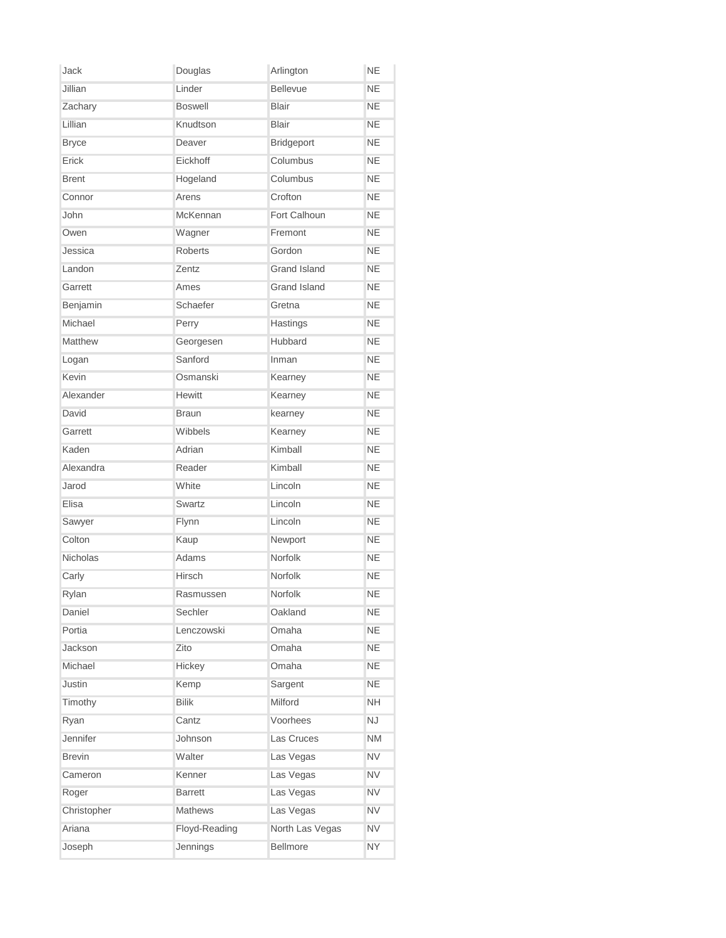| Jack            | Douglas        | Arlington           | <b>NE</b> |
|-----------------|----------------|---------------------|-----------|
| Jillian         | Linder         | <b>Bellevue</b>     | <b>NE</b> |
| Zachary         | <b>Boswell</b> | <b>Blair</b>        | <b>NE</b> |
| Lillian         | Knudtson       | <b>Blair</b>        | <b>NE</b> |
| <b>Bryce</b>    | Deaver         | Bridgeport          | <b>NE</b> |
| Erick           | Eickhoff       | Columbus            | <b>NE</b> |
| <b>Brent</b>    | Hogeland       | Columbus            | <b>NE</b> |
| Connor          | Arens          | Crofton             | <b>NE</b> |
| John            | McKennan       | Fort Calhoun        | <b>NE</b> |
| Owen            | Wagner         | Fremont             | <b>NE</b> |
| Jessica         | <b>Roberts</b> | Gordon              | <b>NE</b> |
| Landon          | Zentz          | <b>Grand Island</b> | <b>NE</b> |
| Garrett         | Ames           | Grand Island        | <b>NE</b> |
| Benjamin        | Schaefer       | Gretna              | <b>NE</b> |
| Michael         | Perry          | Hastings            | <b>NE</b> |
| Matthew         | Georgesen      | <b>Hubbard</b>      | <b>NE</b> |
| Logan           | Sanford        | Inman               | <b>NE</b> |
| Kevin           | Osmanski       | Kearney             | <b>NE</b> |
| Alexander       | <b>Hewitt</b>  | Kearney             | <b>NE</b> |
| David           | <b>Braun</b>   | kearney             | <b>NE</b> |
| Garrett         | Wibbels        | Kearney             | <b>NE</b> |
| Kaden           | Adrian         | Kimball             | <b>NE</b> |
| Alexandra       | Reader         | Kimball             | <b>NE</b> |
| Jarod           | White          | Lincoln             | <b>NE</b> |
| Elisa           | Swartz         | Lincoln             | <b>NE</b> |
| Sawyer          | Flynn          | Lincoln             | <b>NE</b> |
| Colton          | Kaup           | Newport             | <b>NE</b> |
| <b>Nicholas</b> | Adams          | Norfolk             | <b>NE</b> |
| Carly           | Hirsch         | Norfolk             | <b>NE</b> |
| Rylan           | Rasmussen      | Norfolk             | <b>NE</b> |
| Daniel          | Sechler        | Oakland             | <b>NE</b> |
| Portia          | Lenczowski     | Omaha               | <b>NE</b> |
| Jackson         | Zito           | Omaha               | <b>NE</b> |
| Michael         | Hickey         | Omaha               | <b>NE</b> |
| Justin          | Kemp           | Sargent             | <b>NE</b> |
| Timothy         | <b>Bilik</b>   | Milford             | <b>NH</b> |
| Ryan            | Cantz          | Voorhees            | <b>NJ</b> |
| Jennifer        | Johnson        | Las Cruces          | <b>NM</b> |
| <b>Brevin</b>   | Walter         | Las Vegas           | <b>NV</b> |
| Cameron         | Kenner         | Las Vegas           | <b>NV</b> |
| Roger           | <b>Barrett</b> | Las Vegas           | <b>NV</b> |
| Christopher     | <b>Mathews</b> | Las Vegas           | <b>NV</b> |
| Ariana          | Floyd-Reading  | North Las Vegas     | <b>NV</b> |
| Joseph          | Jennings       | Bellmore            | <b>NY</b> |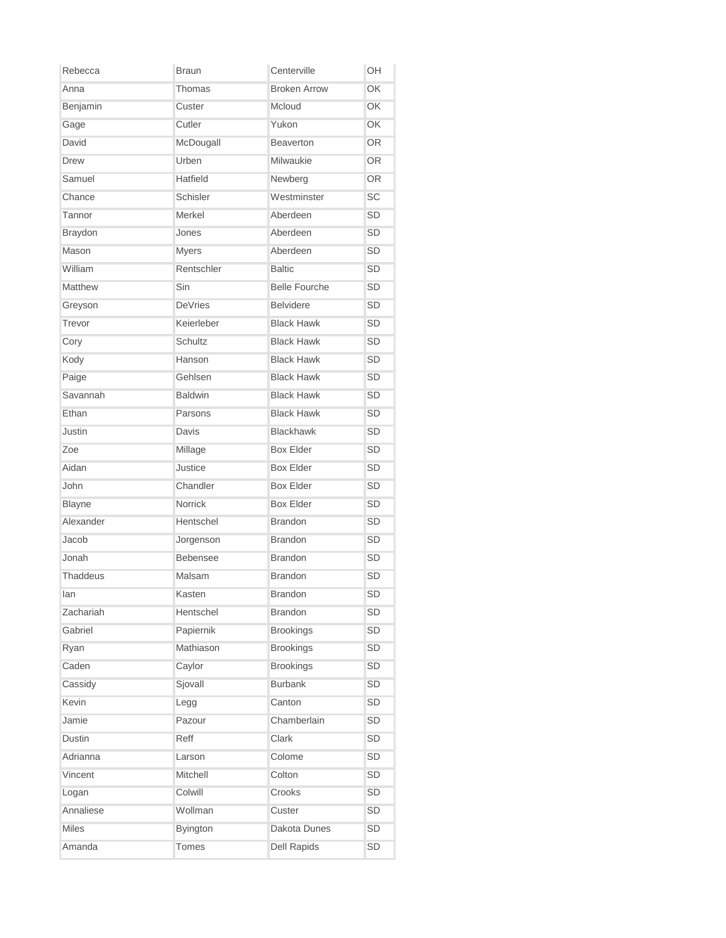| Rebecca        | <b>Braun</b>    | Centerville          | OH        |
|----------------|-----------------|----------------------|-----------|
| Anna           | Thomas          | <b>Broken Arrow</b>  | OK        |
| Benjamin       | Custer          | Mcloud               | OK        |
| Gage           | Cutler          | Yukon                | OK        |
| David          | McDougall       | Beaverton            | OR.       |
| <b>Drew</b>    | Urben           | Milwaukie            | OR.       |
| Samuel         | Hatfield        | Newberg              | OR.       |
| Chance         | Schisler        | Westminster          | <b>SC</b> |
| Tannor         | Merkel          | Aberdeen             | <b>SD</b> |
| <b>Braydon</b> | Jones           | Aberdeen             | SD        |
| Mason          | <b>Myers</b>    | Aberdeen             | <b>SD</b> |
| William        | Rentschler      | <b>Baltic</b>        | SD        |
| Matthew        | Sin             | <b>Belle Fourche</b> | SD        |
| Greyson        | <b>DeVries</b>  | <b>Belvidere</b>     | <b>SD</b> |
| Trevor         | Keierleber      | <b>Black Hawk</b>    | <b>SD</b> |
| Cory           | Schultz         | <b>Black Hawk</b>    | SD        |
| Kody           | Hanson          | <b>Black Hawk</b>    | <b>SD</b> |
| Paige          | Gehlsen         | <b>Black Hawk</b>    | SD        |
| Savannah       | <b>Baldwin</b>  | <b>Black Hawk</b>    | <b>SD</b> |
| Ethan          | Parsons         | <b>Black Hawk</b>    | SD        |
| Justin         | Davis           | <b>Blackhawk</b>     | <b>SD</b> |
| Zoe            | Millage         | <b>Box Elder</b>     | <b>SD</b> |
| Aidan          | Justice         | <b>Box Elder</b>     | <b>SD</b> |
| John           | Chandler        | <b>Box Elder</b>     | <b>SD</b> |
| <b>Blayne</b>  | <b>Norrick</b>  | <b>Box Elder</b>     | <b>SD</b> |
| Alexander      | Hentschel       | <b>Brandon</b>       | <b>SD</b> |
| Jacob          | Jorgenson       | <b>Brandon</b>       | <b>SD</b> |
| Jonah          | <b>Bebensee</b> | <b>Brandon</b>       | <b>SD</b> |
| Thaddeus       | Malsam          | <b>Brandon</b>       | <b>SD</b> |
| lan            | Kasten          | <b>Brandon</b>       | SD        |
| Zachariah      | Hentschel       | <b>Brandon</b>       | SD        |
| Gabriel        | Papiernik       | <b>Brookings</b>     | SD        |
| Ryan           | Mathiason       | <b>Brookings</b>     | SD        |
| Caden          | Caylor          | <b>Brookings</b>     | SD        |
| Cassidy        | Sjovall         | <b>Burbank</b>       | SD        |
| Kevin          | Legg            | Canton               | SD        |
| Jamie          | Pazour          | Chamberlain          | SD        |
| Dustin         | Reff            | Clark                | SD        |
| Adrianna       | Larson          | Colome               | SD        |
| Vincent        | Mitchell        | Colton               | SD        |
| Logan          | Colwill         | Crooks               | SD        |
| Annaliese      | Wollman         | Custer               | SD        |
| <b>Miles</b>   | <b>Byington</b> | Dakota Dunes         | SD        |
| Amanda         | <b>Tomes</b>    | <b>Dell Rapids</b>   | SD        |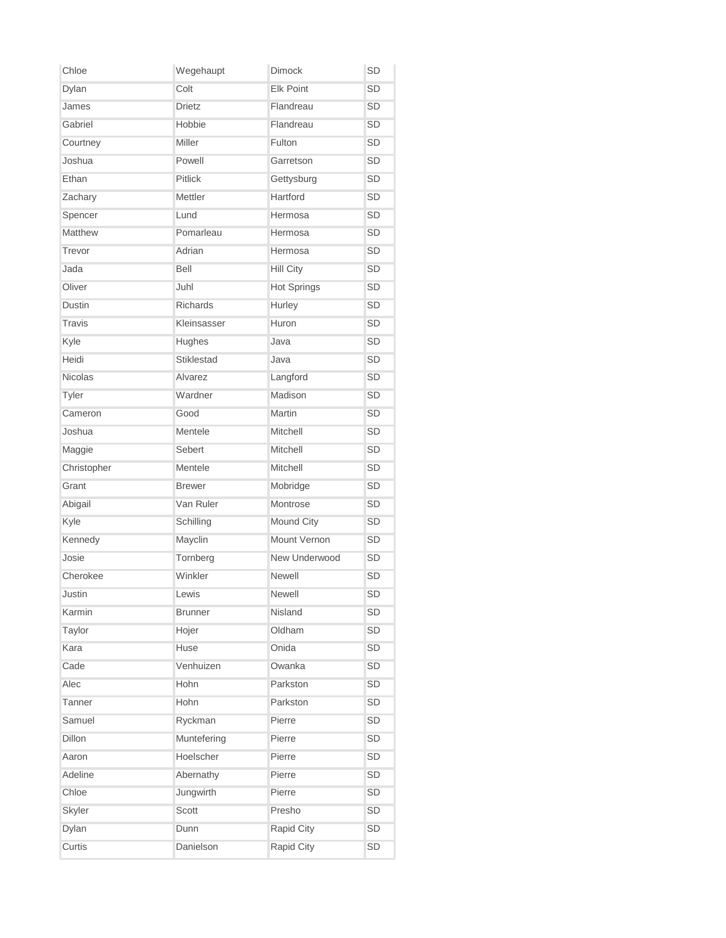| Chloe         | Wegehaupt         | <b>Dimock</b>      | SD        |
|---------------|-------------------|--------------------|-----------|
| Dylan         | Colt              | <b>Elk Point</b>   | <b>SD</b> |
| James         | <b>Drietz</b>     | Flandreau          | <b>SD</b> |
| Gabriel       | Hobbie            | Flandreau          | <b>SD</b> |
| Courtney      | Miller            | Fulton             | SD        |
| Joshua        | Powell            | Garretson          | SD        |
| Ethan         | <b>Pitlick</b>    | Gettysburg         | <b>SD</b> |
| Zachary       | Mettler           | Hartford           | <b>SD</b> |
| Spencer       | Lund              | Hermosa            | SD        |
| Matthew       | Pomarleau         | Hermosa            | <b>SD</b> |
| Trevor        | Adrian            | Hermosa            | <b>SD</b> |
| Jada          | Bell              | <b>Hill City</b>   | <b>SD</b> |
| Oliver        | Juhl              | <b>Hot Springs</b> | <b>SD</b> |
| Dustin        | Richards          | Hurley             | <b>SD</b> |
| <b>Travis</b> | Kleinsasser       | Huron              | <b>SD</b> |
| Kyle          | Hughes            | Java               | <b>SD</b> |
| Heidi         | <b>Stiklestad</b> | Java               | <b>SD</b> |
| Nicolas       | Alvarez           | Langford           | <b>SD</b> |
| Tyler         | Wardner           | Madison            | <b>SD</b> |
| Cameron       | Good              | Martin             | <b>SD</b> |
| Joshua        | Mentele           | Mitchell           | <b>SD</b> |
| Maggie        | Sebert            | Mitchell           | <b>SD</b> |
| Christopher   | Mentele           | Mitchell           | SD        |
| Grant         | <b>Brewer</b>     | Mobridge           | <b>SD</b> |
| Abigail       | Van Ruler         | Montrose           | <b>SD</b> |
| Kyle          | Schilling         | Mound City         | SD        |
| Kennedy       | Mayclin           | Mount Vernon       | <b>SD</b> |
| Josie         | Tornberg          | New Underwood      | <b>SD</b> |
| Cherokee      | Winkler           | Newell             | <b>SD</b> |
| Justin        | Lewis             | Newell             | SD        |
| Karmin        | <b>Brunner</b>    | Nisland            | SD        |
| Taylor        | Hojer             | Oldham             | SD        |
| Kara          | Huse              | Onida              | SD        |
| Cade          | Venhuizen         | Owanka             | SD        |
| Alec          | Hohn              | Parkston           | SD        |
| Tanner        | Hohn              | Parkston           | SD        |
| Samuel        | Ryckman           | Pierre             | SD        |
| Dillon        | Muntefering       | Pierre             | SD        |
| Aaron         | Hoelscher         | Pierre             | SD        |
| Adeline       | Abernathy         | Pierre             | SD        |
| Chloe         | Jungwirth         | Pierre             | SD        |
| Skyler        | Scott             | Presho             | SD        |
| Dylan         | Dunn              | Rapid City         | SD        |
| Curtis        | Danielson         | Rapid City         | SD        |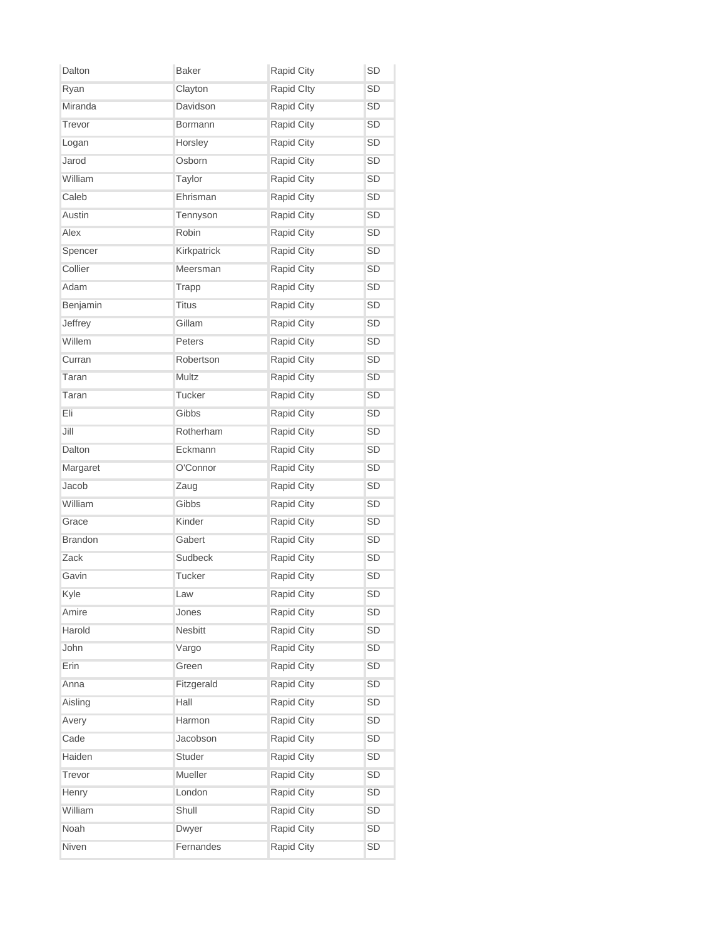| Dalton         | <b>Baker</b> | Rapid City        | SD        |
|----------------|--------------|-------------------|-----------|
| Ryan           | Clayton      | <b>Rapid Clty</b> | SD        |
| Miranda        | Davidson     | Rapid City        | <b>SD</b> |
| Trevor         | Bormann      | Rapid City        | <b>SD</b> |
| Logan          | Horsley      | Rapid City        | <b>SD</b> |
| Jarod          | Osborn       | Rapid City        | SD        |
| William        | Taylor       | Rapid City        | SD        |
| Caleb          | Ehrisman     | Rapid City        | SD        |
| Austin         | Tennyson     | Rapid City        | SD        |
| Alex           | Robin        | Rapid City        | <b>SD</b> |
| Spencer        | Kirkpatrick  | Rapid City        | <b>SD</b> |
| Collier        | Meersman     | Rapid City        | <b>SD</b> |
| Adam           | Trapp        | Rapid City        | SD        |
| Benjamin       | <b>Titus</b> | Rapid City        | SD        |
| Jeffrey        | Gillam       | Rapid City        | SD        |
| Willem         | Peters       | Rapid City        | SD        |
| Curran         | Robertson    | <b>Rapid City</b> | <b>SD</b> |
| Taran          | Multz        | Rapid City        | <b>SD</b> |
| Taran          | Tucker       | Rapid City        | SD        |
| Eli            | Gibbs        | Rapid City        | <b>SD</b> |
| Jill           | Rotherham    | Rapid City        | SD        |
| Dalton         | Eckmann      | Rapid City        | <b>SD</b> |
| Margaret       | O'Connor     | Rapid City        | SD        |
| Jacob          | Zaug         | Rapid City        | <b>SD</b> |
| William        | Gibbs        | Rapid City        | SD        |
| Grace          | Kinder       | Rapid City        | SD        |
| <b>Brandon</b> | Gabert       | Rapid City        | SD        |
| Zack           | Sudbeck      | Rapid City        | SD        |
| Gavin          | Tucker       | Rapid City        | SD        |
| Kyle           | Law          | <b>Rapid City</b> | SD        |
| Amire          | Jones        | Rapid City        | SD        |
| Harold         | Nesbitt      | Rapid City        | SD        |
| John           | Vargo        | Rapid City        | SD        |
| Erin           | Green        | Rapid City        | SD        |
| Anna           | Fitzgerald   | Rapid City        | SD        |
| Aisling        | Hall         | Rapid City        | SD        |
| Avery          | Harmon       | Rapid City        | SD        |
| Cade           | Jacobson     | Rapid City        | SD        |
| Haiden         | Studer       | Rapid City        | SD        |
| Trevor         | Mueller      | Rapid City        | SD        |
| Henry          | London       | Rapid City        | SD        |
| William        | Shull        | Rapid City        | SD        |
| Noah           | Dwyer        | Rapid City        | SD        |
| Niven          | Fernandes    | Rapid City        | SD        |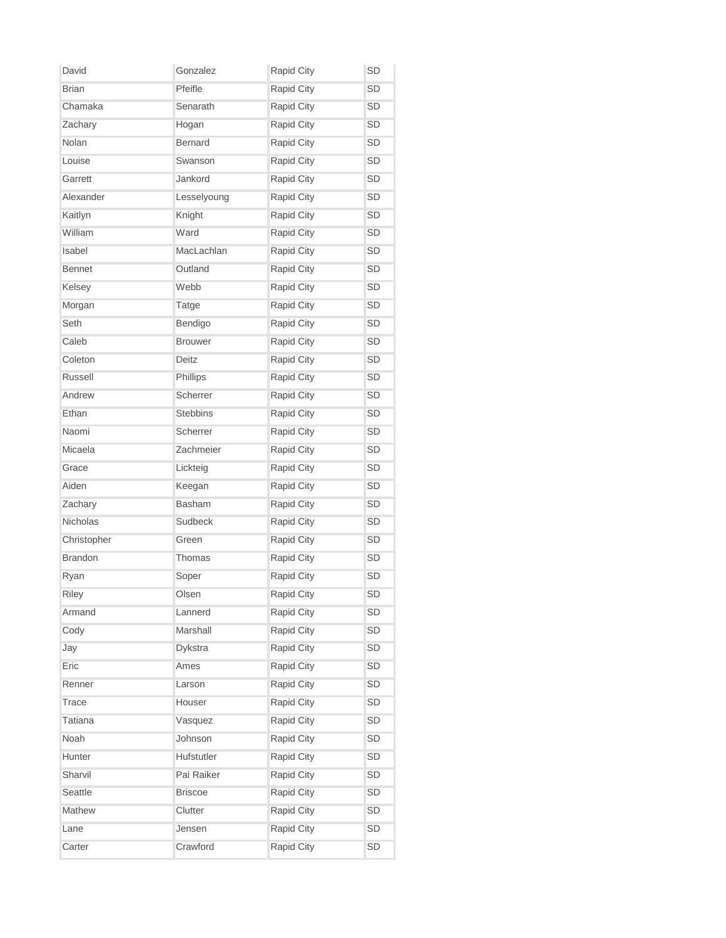| David          | Gonzalez        | Rapid City        | SD        |
|----------------|-----------------|-------------------|-----------|
| <b>Brian</b>   | Pfeifle         | Rapid City        | <b>SD</b> |
| Chamaka        | Senarath        | <b>Rapid City</b> | SD        |
| Zachary        | Hogan           | Rapid City        | SD        |
| Nolan          | <b>Bernard</b>  | Rapid City        | SD        |
| Louise         | Swanson         | Rapid City        | SD        |
| Garrett        | Jankord         | Rapid City        | SD        |
| Alexander      | Lesselyoung     | Rapid City        | SD        |
| Kaitlyn        | Knight          | Rapid City        | SD        |
| William        | Ward            | Rapid City        | SD        |
| Isabel         | MacLachlan      | Rapid City        | <b>SD</b> |
| <b>Bennet</b>  | Outland         | Rapid City        | SD        |
| Kelsey         | Webb            | Rapid City        | <b>SD</b> |
| Morgan         | Tatge           | Rapid City        | <b>SD</b> |
| Seth           | Bendigo         | Rapid City        | SD        |
| Caleb          | <b>Brouwer</b>  | Rapid City        | SD        |
| Coleton        | Deitz           | <b>Rapid City</b> | <b>SD</b> |
| Russell        | Phillips        | Rapid City        | SD        |
| Andrew         | Scherrer        | <b>Rapid City</b> | <b>SD</b> |
| Ethan          | <b>Stebbins</b> | Rapid City        | <b>SD</b> |
| Naomi          | Scherrer        | Rapid City        | SD        |
| Micaela        | Zachmeier       | Rapid City        | SD        |
| Grace          | Lickteig        | Rapid City        | SD        |
| Aiden          | Keegan          | Rapid City        | <b>SD</b> |
| Zachary        | <b>Basham</b>   | Rapid City        | <b>SD</b> |
| Nicholas       | Sudbeck         | Rapid City        | <b>SD</b> |
| Christopher    | Green           | Rapid City        | <b>SD</b> |
| <b>Brandon</b> | Thomas          | Rapid City        | SD        |
| Ryan           | Soper           | Rapid City        | SD        |
| Riley          | Olsen           | Rapid City        | SD        |
| Armand         | Lannerd         | Rapid City        | SD        |
| Cody           | Marshall        | Rapid City        | SD        |
| Jay            | Dykstra         | Rapid City        | SD        |
| Eric           | Ames            | Rapid City        | SD        |
| Renner         | Larson          | Rapid City        | SD        |
| <b>Trace</b>   | Houser          | Rapid City        | SD        |
| <b>Tatiana</b> | Vasquez         | Rapid City        | SD        |
| Noah           | Johnson         | Rapid City        | SD        |
| Hunter         | Hufstutler      | Rapid City        | SD        |
| Sharvil        | Pai Raiker      | Rapid City        | SD        |
| Seattle        | <b>Briscoe</b>  | Rapid City        | SD        |
| Mathew         | Clutter         | Rapid City        | SD        |
| Lane           | Jensen          | <b>Rapid City</b> | SD        |
| Carter         | Crawford        | Rapid City        | SD        |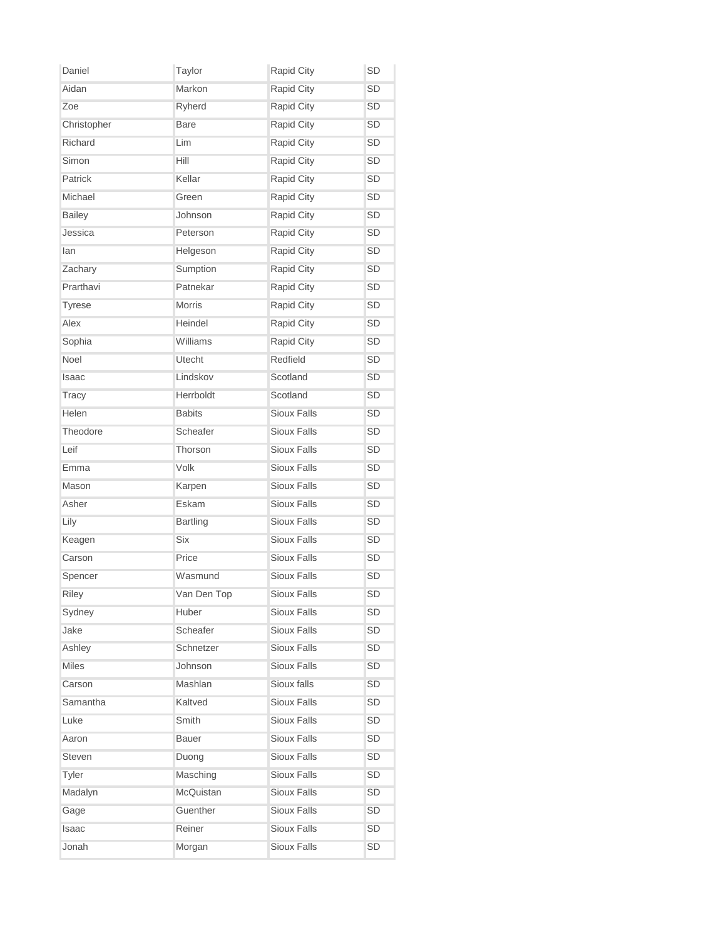| Daniel        | Taylor          | Rapid City         | <b>SD</b> |
|---------------|-----------------|--------------------|-----------|
| Aidan         | Markon          | <b>Rapid City</b>  | <b>SD</b> |
| Zoe           | Ryherd          | <b>Rapid City</b>  | <b>SD</b> |
| Christopher   | <b>Bare</b>     | <b>Rapid City</b>  | <b>SD</b> |
| Richard       | Lim             | Rapid City         | <b>SD</b> |
| Simon         | Hill            | Rapid City         | SD        |
| Patrick       | Kellar          | Rapid City         | <b>SD</b> |
| Michael       | Green           | <b>Rapid City</b>  | SD        |
| <b>Bailey</b> | Johnson         | Rapid City         | SD        |
| Jessica       | Peterson        | <b>Rapid City</b>  | <b>SD</b> |
| lan           | Helgeson        | Rapid City         | <b>SD</b> |
| Zachary       | Sumption        | Rapid City         | <b>SD</b> |
| Prarthavi     | Patnekar        | Rapid City         | <b>SD</b> |
| <b>Tyrese</b> | Morris          | Rapid City         | <b>SD</b> |
| Alex          | Heindel         | <b>Rapid City</b>  | SD        |
| Sophia        | Williams        | Rapid City         | SD        |
| Noel          | Utecht          | Redfield           | <b>SD</b> |
| Isaac         | Lindskov        | Scotland           | <b>SD</b> |
| <b>Tracy</b>  | Herrboldt       | Scotland           | SD        |
| Helen         | <b>Babits</b>   | <b>Sioux Falls</b> | <b>SD</b> |
| Theodore      | Scheafer        | Sioux Falls        | SD        |
| Leif          | Thorson         | Sioux Falls        | <b>SD</b> |
| Emma          | Volk            | Sioux Falls        | SD        |
| Mason         | Karpen          | <b>Sioux Falls</b> | <b>SD</b> |
| Asher         | Eskam           | Sioux Falls        | <b>SD</b> |
| Lily          | <b>Bartling</b> | Sioux Falls        | SD        |
| Keagen        | Six             | Sioux Falls        | SD        |
| Carson        | Price           | <b>Sioux Falls</b> | <b>SD</b> |
| Spencer       | Wasmund         | Sioux Falls        | <b>SD</b> |
| Riley         | Van Den Top     | <b>Sioux Falls</b> | <b>SD</b> |
| Sydney        | Huber           | Sioux Falls        | SD        |
| Jake          | Scheafer        | Sioux Falls        | SD        |
| Ashley        | Schnetzer       | Sioux Falls        | SD        |
| Miles         | Johnson         | Sioux Falls        | SD        |
| Carson        | Mashlan         | Sioux falls        | SD        |
| Samantha      | Kaltved         | <b>Sioux Falls</b> | SD        |
| Luke          | Smith           | <b>Sioux Falls</b> | SD        |
| Aaron         | Bauer           | Sioux Falls        | SD        |
| Steven        | Duong           | Sioux Falls        | SD        |
| Tyler         | Masching        | Sioux Falls        | SD        |
| Madalyn       | McQuistan       | Sioux Falls        | SD        |
| Gage          | Guenther        | Sioux Falls        | SD        |
| Isaac         | Reiner          | Sioux Falls        | SD        |
| Jonah         | Morgan          | Sioux Falls        | SD        |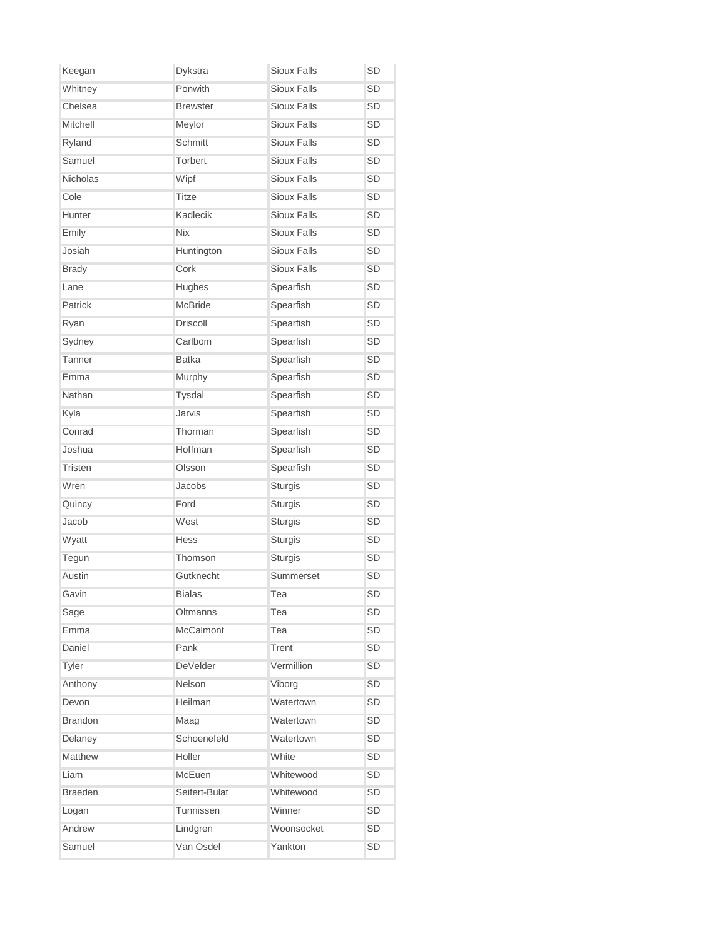| Keegan         | Dykstra          | Sioux Falls        | SD        |
|----------------|------------------|--------------------|-----------|
| Whitney        | Ponwith          | <b>Sioux Falls</b> | <b>SD</b> |
| Chelsea        | <b>Brewster</b>  | Sioux Falls        | <b>SD</b> |
| Mitchell       | Meylor           | <b>Sioux Falls</b> | <b>SD</b> |
| Ryland         | <b>Schmitt</b>   | Sioux Falls        | <b>SD</b> |
| Samuel         | <b>Torbert</b>   | Sioux Falls        | <b>SD</b> |
| Nicholas       | Wipf             | Sioux Falls        | <b>SD</b> |
| Cole           | <b>Titze</b>     | Sioux Falls        | <b>SD</b> |
| Hunter         | Kadlecik         | Sioux Falls        | <b>SD</b> |
| Emily          | <b>Nix</b>       | Sioux Falls        | <b>SD</b> |
| Josiah         | Huntington       | Sioux Falls        | <b>SD</b> |
| <b>Brady</b>   | Cork             | Sioux Falls        | <b>SD</b> |
| Lane           | Hughes           | Spearfish          | <b>SD</b> |
| Patrick        | <b>McBride</b>   | Spearfish          | <b>SD</b> |
| Ryan           | <b>Driscoll</b>  | Spearfish          | <b>SD</b> |
| Sydney         | Carlbom          | Spearfish          | <b>SD</b> |
| Tanner         | <b>Batka</b>     | Spearfish          | SD        |
| Emma           | Murphy           | Spearfish          | <b>SD</b> |
| Nathan         | Tysdal           | Spearfish          | <b>SD</b> |
| Kyla           | Jarvis           | Spearfish          | <b>SD</b> |
| Conrad         | Thorman          | Spearfish          | <b>SD</b> |
| Joshua         | Hoffman          | Spearfish          | <b>SD</b> |
| Tristen        | Olsson           | Spearfish          | <b>SD</b> |
| Wren           | Jacobs           | Sturgis            | SD        |
| Quincy         | Ford             | Sturgis            | SD        |
| Jacob          | West             | Sturgis            | <b>SD</b> |
| Wyatt          | Hess             | Sturgis            | <b>SD</b> |
| Tegun          | Thomson          | Sturgis            | <b>SD</b> |
| Austin         | Gutknecht        | Summerset          | <b>SD</b> |
| Gavin          | <b>Bialas</b>    | Tea                | <b>SD</b> |
| Sage           | Oltmanns         | Tea                | <b>SD</b> |
| Emma           | <b>McCalmont</b> | Tea                | <b>SD</b> |
| Daniel         | Pank             | Trent              | SD        |
| Tyler          | DeVelder         | Vermillion         | SD        |
| Anthony        | Nelson           | Viborg             | SD        |
| Devon          | Heilman          | Watertown          | <b>SD</b> |
| <b>Brandon</b> | Maag             | Watertown          | <b>SD</b> |
| Delaney        | Schoenefeld      | Watertown          | SD        |
| <b>Matthew</b> | Holler           | White              | SD        |
| Liam           | McEuen           | Whitewood          | SD        |
| <b>Braeden</b> | Seifert-Bulat    | Whitewood          | SD        |
| Logan          | Tunnissen        | Winner             | SD        |
| Andrew         | Lindgren         | Woonsocket         | SD        |
| Samuel         | Van Osdel        | Yankton            | SD        |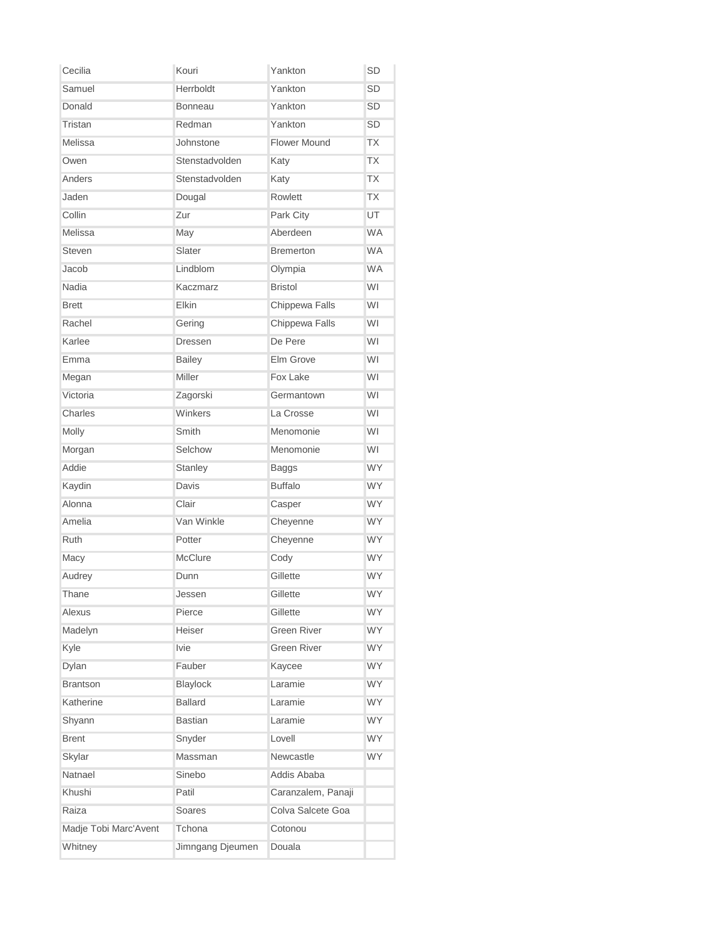| Cecilia               | Kouri            | Yankton             | <b>SD</b> |
|-----------------------|------------------|---------------------|-----------|
| Samuel                | Herrboldt        | Yankton             | <b>SD</b> |
| Donald                | <b>Bonneau</b>   | Yankton             | SD        |
| Tristan               | Redman           | Yankton             | <b>SD</b> |
| Melissa               | Johnstone        | <b>Flower Mound</b> | <b>TX</b> |
| Owen                  | Stenstadvolden   | Katy                | <b>TX</b> |
| Anders                | Stenstadvolden   | Katy                | <b>TX</b> |
| Jaden                 | Dougal           | Rowlett             | <b>TX</b> |
| Collin                | Zur              | Park City           | UT        |
| Melissa               | May              | Aberdeen            | <b>WA</b> |
| <b>Steven</b>         | Slater           | <b>Bremerton</b>    | <b>WA</b> |
| Jacob                 | Lindblom         | Olympia             | <b>WA</b> |
| Nadia                 | Kaczmarz         | <b>Bristol</b>      | WI        |
| <b>Brett</b>          | Elkin            | Chippewa Falls      | WI        |
| Rachel                | Gering           | Chippewa Falls      | WI        |
| Karlee                | <b>Dressen</b>   | De Pere             | WI        |
| Emma                  | <b>Bailey</b>    | Elm Grove           | WI        |
| Megan                 | Miller           | Fox Lake            | WI        |
| Victoria              | Zagorski         | Germantown          | WI        |
| Charles               | Winkers          | La Crosse           | WI        |
| Molly                 | Smith            | Menomonie           | WI        |
| Morgan                | Selchow          | Menomonie           | WI        |
| Addie                 | Stanley          | <b>Baggs</b>        | <b>WY</b> |
| Kaydin                | Davis            | <b>Buffalo</b>      | <b>WY</b> |
| Alonna                | Clair            | Casper              | <b>WY</b> |
| Amelia                | Van Winkle       | Cheyenne            | <b>WY</b> |
| <b>Ruth</b>           | Potter           | Cheyenne            | <b>WY</b> |
| Macy                  | McClure          | Cody                | <b>WY</b> |
| Audrey                | Dunn             | Gillette            | <b>WY</b> |
| Thane                 | Jessen           | Gillette            | WY        |
| Alexus                | Pierce           | Gillette            | <b>WY</b> |
| Madelyn               | Heiser           | <b>Green River</b>  | <b>WY</b> |
| Kyle                  | <b>Ivie</b>      | <b>Green River</b>  | WY        |
| Dylan                 | Fauber           | Kaycee              | <b>WY</b> |
| <b>Brantson</b>       | Blaylock         | Laramie             | <b>WY</b> |
| Katherine             | <b>Ballard</b>   | Laramie             | <b>WY</b> |
| Shyann                | <b>Bastian</b>   | Laramie             | <b>WY</b> |
| <b>Brent</b>          | Snyder           | Lovell              | <b>WY</b> |
| Skylar                | Massman          | Newcastle           | <b>WY</b> |
| Natnael               | Sinebo           | Addis Ababa         |           |
| Khushi                | Patil            | Caranzalem, Panaji  |           |
| Raiza                 | Soares           | Colva Salcete Goa   |           |
| Madje Tobi Marc'Avent | Tchona           | Cotonou             |           |
| Whitney               | Jimngang Djeumen | Douala              |           |